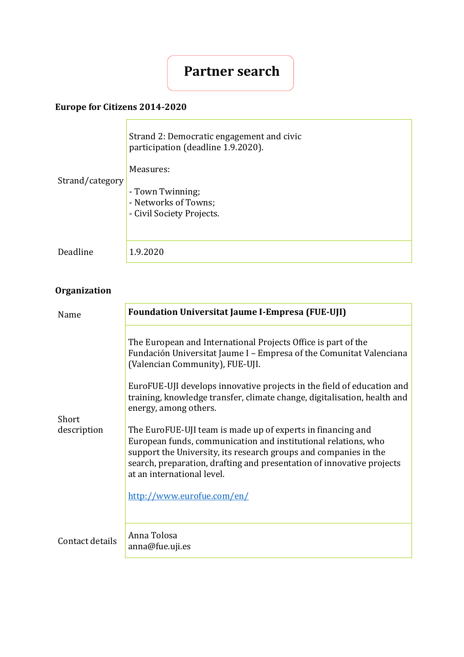# **Partner search**

### **Europe for Citizens 2014-2020**

| Strand/category | Strand 2: Democratic engagement and civic<br>participation (deadline 1.9.2020).<br>Measures:<br>- Town Twinning;<br>- Networks of Towns;<br>- Civil Society Projects. |
|-----------------|-----------------------------------------------------------------------------------------------------------------------------------------------------------------------|
| Deadline        | 1.9.2020                                                                                                                                                              |

## **Organization**

| Name                 | <b>Foundation Universitat Jaume I-Empresa (FUE-UJI)</b>                                                                                                                                                                                                                                                  |
|----------------------|----------------------------------------------------------------------------------------------------------------------------------------------------------------------------------------------------------------------------------------------------------------------------------------------------------|
| Short<br>description | The European and International Projects Office is part of the<br>Fundación Universitat Jaume I - Empresa of the Comunitat Valenciana<br>(Valencian Community), FUE-UJI.                                                                                                                                  |
|                      | EuroFUE-UJI develops innovative projects in the field of education and<br>training, knowledge transfer, climate change, digitalisation, health and<br>energy, among others.                                                                                                                              |
|                      | The EuroFUE-UJI team is made up of experts in financing and<br>European funds, communication and institutional relations, who<br>support the University, its research groups and companies in the<br>search, preparation, drafting and presentation of innovative projects<br>at an international level. |
|                      | http://www.eurofue.com/en/                                                                                                                                                                                                                                                                               |
| Contact details      | Anna Tolosa<br>anna@fue.uji.es                                                                                                                                                                                                                                                                           |